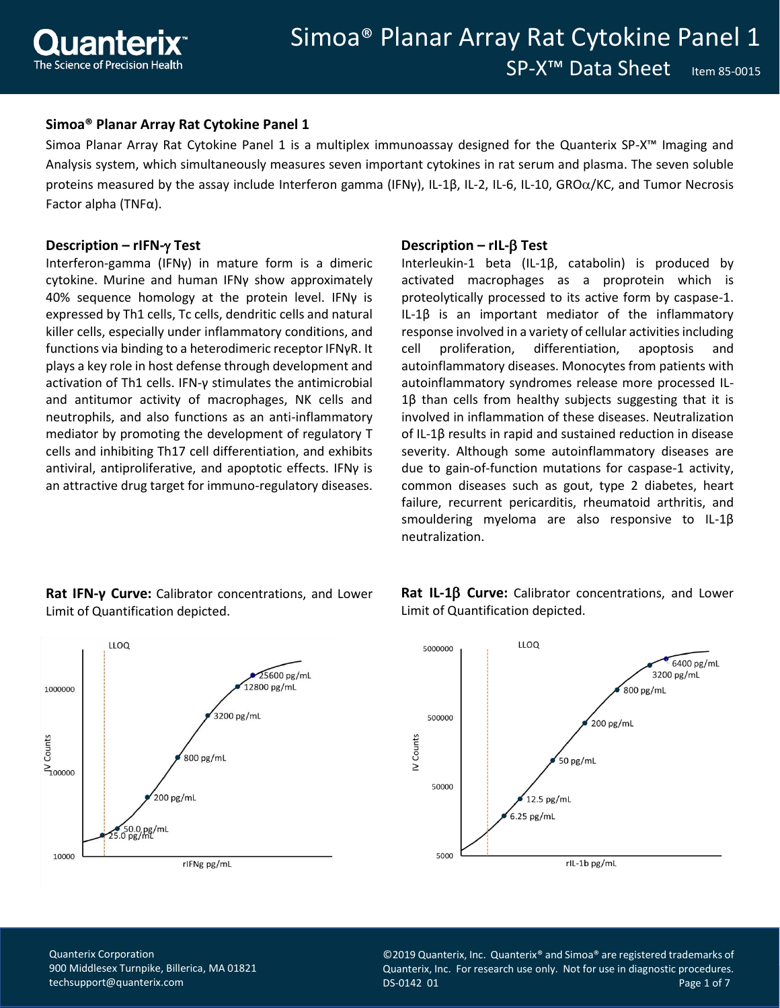

## **Simoa® Planar Array Rat Cytokine Panel 1**

Simoa Planar Array Rat Cytokine Panel 1 is a multiplex immunoassay designed for the Quanterix SP-X™ Imaging and Analysis system, which simultaneously measures seven important cytokines in rat serum and plasma. The seven soluble proteins measured by the assay include Interferon gamma (IFNy), IL-1B, IL-2, IL-6, IL-10, GRO $\alpha$ /KC, and Tumor Necrosis Factor alpha (TNFα).

#### **Description – rIFN- Test**

Interferon-gamma (IFNγ) in mature form is a dimeric cytokine. Murine and human IFNγ show approximately 40% sequence homology at the protein level. IFNγ is expressed by Th1 cells, Tc cells, dendritic cells and natural killer cells, especially under inflammatory conditions, and functions via binding to a heterodimeric receptor IFNγR. It plays a key role in host defense through development and activation of Th1 cells. IFN-γ stimulates the antimicrobial and antitumor activity of macrophages, NK cells and neutrophils, and also functions as an anti-inflammatory mediator by promoting the development of regulatory T cells and inhibiting Th17 cell differentiation, and exhibits antiviral, antiproliferative, and apoptotic effects. IFNγ is an attractive drug target for immuno-regulatory diseases.

#### **Description – rIL- Test**

Interleukin-1 beta (IL-1β, catabolin) is produced by activated macrophages as a proprotein which is proteolytically processed to its active form by caspase-1. IL-1β is an important mediator of the inflammatory response involved in a variety of cellular activities including cell proliferation, differentiation, apoptosis and autoinflammatory diseases. Monocytes from patients with autoinflammatory syndromes release more processed IL-1β than cells from healthy subjects suggesting that it is involved in inflammation of these diseases. Neutralization of IL-1β results in rapid and sustained reduction in disease severity. Although some autoinflammatory diseases are due to gain-of-function mutations for caspase-1 activity, common diseases such as gout, type 2 diabetes, heart failure, recurrent pericarditis, rheumatoid arthritis, and smouldering myeloma are also responsive to IL-1β neutralization.





Rat IL-1 $\beta$  Curve: Calibrator concentrations, and Lower Limit of Quantification depicted.



Quanterix Corporation 900 Middlesex Turnpike, Billerica, MA 01821 [techsupport@quanterix.com](mailto:techsupport@quanterix.com)

©2019 Quanterix, Inc. Quanterix® and Simoa® are registered trademarks of Quanterix, Inc. For research use only. Not for use in diagnostic procedures. DS-0142 01 Page 1 of 7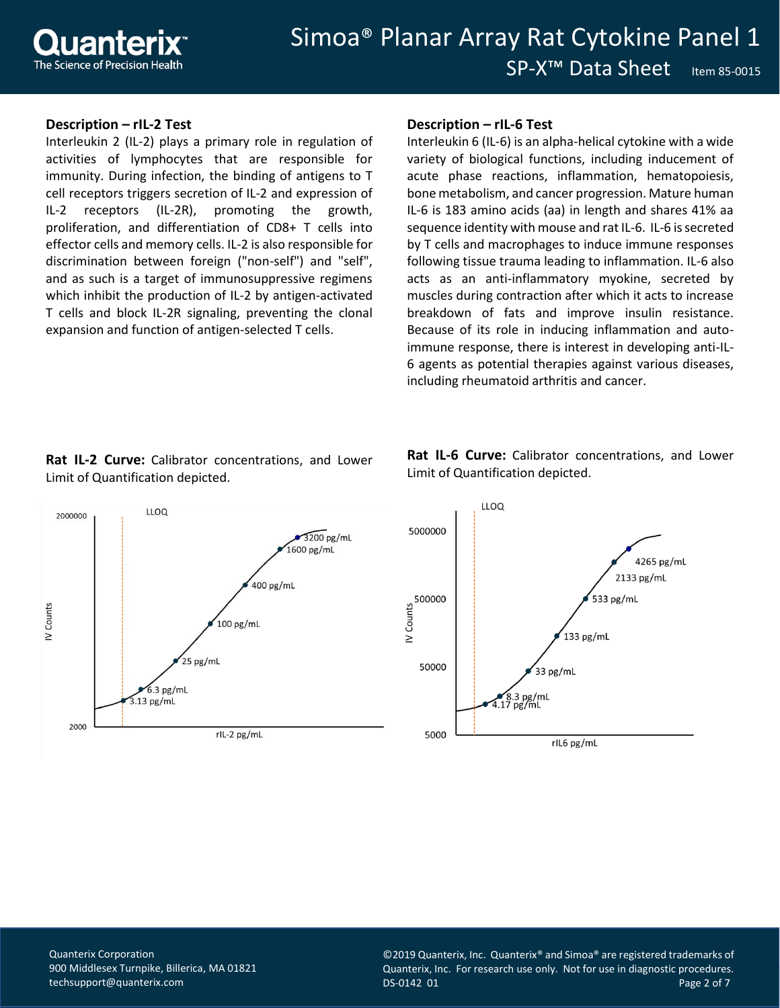## **Description – rIL-2 Test**

Interleukin 2 (IL-2) plays a primary role in regulation of activities of lymphocytes that are responsible for immunity. During infection, the binding of antigens to T cell receptors triggers secretion of IL-2 and expression of IL-2 receptors (IL-2R), promoting the growth, proliferation, and differentiation of CD8+ T cells into effector cells and memory cells. IL-2 is also responsible for discrimination between foreign ("non-self") and "self", and as such is a target of immunosuppressive regimens which inhibit the production of IL-2 by antigen-activated T cells and block IL-2R signaling, preventing the clonal expansion and function of antigen-selected T cells.

## **Description – rIL-6 Test**

Interleukin 6 (IL-6) is an alpha-helical cytokine with a wide variety of biological functions, including inducement of acute phase reactions, inflammation, hematopoiesis, bone metabolism, and cancer progression. Mature human IL-6 is 183 amino acids (aa) in length and shares 41% aa sequence identity with mouse and rat IL-6. IL-6 is secreted by T cells and macrophages to induce immune responses following tissue trauma leading to inflammation. IL-6 also acts as an anti-inflammatory myokine, secreted by muscles during contraction after which it acts to increase breakdown of fats and improve insulin resistance. Because of its role in inducing inflammation and autoimmune response, there is interest in developing anti-IL-6 agents as potential therapies against various diseases, including rheumatoid arthritis and cancer.

# **Rat IL-2 Curve:** Calibrator concentrations, and Lower Limit of Quantification depicted.



**Rat IL-6 Curve:** Calibrator concentrations, and Lower Limit of Quantification depicted.



Quanterix Corporation 900 Middlesex Turnpike, Billerica, MA 01821 [techsupport@quanterix.com](mailto:techsupport@quanterix.com)

©2019 Quanterix, Inc. Quanterix® and Simoa® are registered trademarks of Quanterix, Inc. For research use only. Not for use in diagnostic procedures. DS-0142 01 Page 2 of 7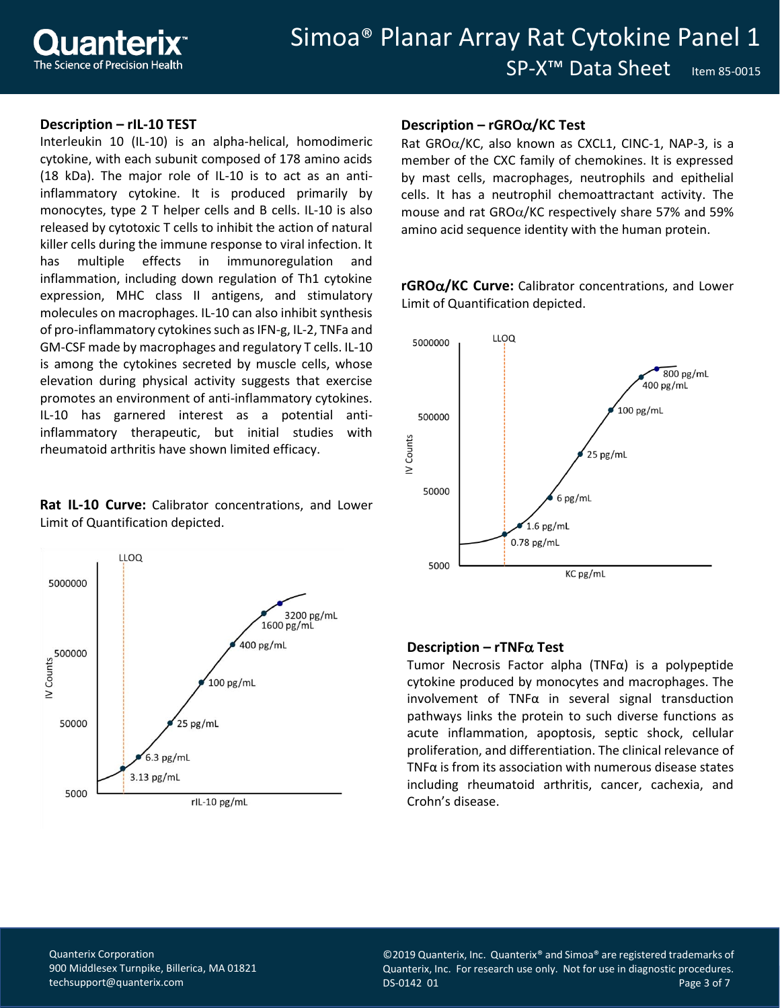## **Description – rIL-10 TEST**

Interleukin 10 (IL-10) is an alpha-helical, homodimeric cytokine, with each subunit composed of 178 amino acids (18 kDa). The major role of IL-10 is to act as an antiinflammatory cytokine. It is produced primarily by monocytes, type 2 T helper cells and B cells. IL-10 is also released by cytotoxic T cells to inhibit the action of natural killer cells during the immune response to viral infection. It has multiple effects in immunoregulation and inflammation, including down regulation of Th1 cytokine expression, MHC class II antigens, and stimulatory molecules on macrophages. IL-10 can also inhibit synthesis of pro-inflammatory cytokines such as IFN-g, IL-2, TNFa and GM-CSF made by macrophages and regulatory T cells. IL-10 is among the cytokines secreted by muscle cells, whose elevation during physical activity suggests that exercise promotes an environment of anti-inflammatory cytokines. IL-10 has garnered interest as a potential antiinflammatory therapeutic, but initial studies with rheumatoid arthritis have shown limited efficacy.

**Rat IL-10 Curve:** Calibrator concentrations, and Lower Limit of Quantification depicted.



## **Description – rGRO/KC Test**

Rat GRO $\alpha$ /KC, also known as CXCL1, CINC-1, NAP-3, is a member of the CXC family of chemokines. It is expressed by mast cells, macrophages, neutrophils and epithelial cells. It has a neutrophil chemoattractant activity. The mouse and rat  $GRO\alpha/KC$  respectively share 57% and 59% amino acid sequence identity with the human protein.

**rGRO/KC Curve:** Calibrator concentrations, and Lower Limit of Quantification depicted.



#### **Description – rTNF** $\alpha$  **Test**

Tumor Necrosis Factor alpha (TNFα) is a polypeptide cytokine produced by monocytes and macrophages. The involvement of TNF $\alpha$  in several signal transduction pathways links the protein to such diverse functions as acute inflammation, apoptosis, septic shock, cellular proliferation, and differentiation. The clinical relevance of TNF $\alpha$  is from its association with numerous disease states including rheumatoid arthritis, cancer, cachexia, and Crohn's disease.

Quanterix Corporation 900 Middlesex Turnpike, Billerica, MA 01821 [techsupport@quanterix.com](mailto:techsupport@quanterix.com)

©2019 Quanterix, Inc. Quanterix® and Simoa® are registered trademarks of Quanterix, Inc. For research use only. Not for use in diagnostic procedures. DS-0142 01 Page 3 of 7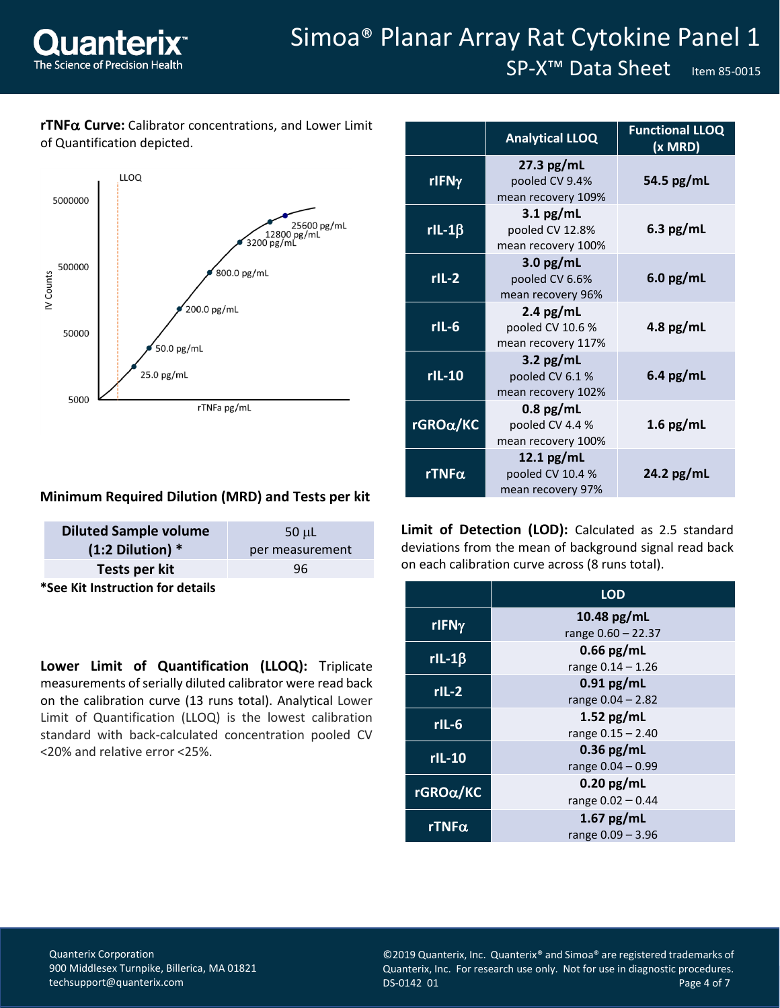

# Simoa® Planar Array Rat Cytokine Panel 1

SP-X<sup>™</sup> Data Sheet Item 85-0015

# **rTNFα Curve:** Calibrator concentrations, and Lower Limit of Quantification depicted.



|               | <b>Analytical LLOQ</b>                                | <b>Functional LLOQ</b><br>$(x \text{MRD})$ |
|---------------|-------------------------------------------------------|--------------------------------------------|
| rIFNy         | $27.3$ pg/mL<br>pooled CV 9.4%<br>mean recovery 109%  | 54.5 $pg/mL$                               |
| rIL-1 $\beta$ | $3.1$ pg/mL<br>pooled CV 12.8%<br>mean recovery 100%  | $6.3$ pg/mL                                |
| $rIL-2$       | $3.0$ pg/mL<br>pooled CV 6.6%<br>mean recovery 96%    | $6.0$ pg/mL                                |
| $rIL-6$       | $2.4$ pg/mL<br>pooled CV 10.6 %<br>mean recovery 117% | 4.8 $pg/mL$                                |
| $rL-10$       | 3.2 $pg/mL$<br>pooled CV 6.1%<br>mean recovery 102%   | $6.4$ pg/mL                                |
| rGROα/KC      | $0.8$ pg/mL<br>pooled CV 4.4 %<br>mean recovery 100%  | 1.6 $pg/mL$                                |
| rTNF $\alpha$ | 12.1 $pg/mL$<br>pooled CV 10.4 %<br>mean recovery 97% | 24.2 $pg/mL$                               |

## **Minimum Required Dilution (MRD) and Tests per kit**

| <b>Diluted Sample volume</b>     | $50$ $\mu$ L    |
|----------------------------------|-----------------|
| $(1:2 \text{ Dilution})$ *       | per measurement |
| Tests per kit                    | 96              |
| *See Kit Instruction for details |                 |

**Lower Limit of Quantification (LLOQ):** Triplicate measurements of serially diluted calibrator were read back on the calibration curve (13 runs total). Analytical Lower Limit of Quantification (LLOQ) is the lowest calibration standard with back-calculated concentration pooled CV <20% and relative error <25%.

**Limit of Detection (LOD):** Calculated as 2.5 standard deviations from the mean of background signal read back on each calibration curve across (8 runs total).

|               | <b>LOD</b>           |
|---------------|----------------------|
| rIFNy         | 10.48 pg/mL          |
|               | range $0.60 - 22.37$ |
| $rI-L-1\beta$ | $0.66$ pg/mL         |
|               | range $0.14 - 1.26$  |
| $rIL-2$       | $0.91$ pg/mL         |
|               | range $0.04 - 2.82$  |
| $rIL-6$       | 1.52 $pg/mL$         |
|               | range 0.15 – 2.40    |
| $rIL-10$      | $0.36$ pg/mL         |
|               | range $0.04 - 0.99$  |
| rGROα/KC      | $0.20$ pg/mL         |
|               | range $0.02 - 0.44$  |
|               | 1.67 $pg/mL$         |
| rTNF $\alpha$ | range $0.09 - 3.96$  |

Quanterix Corporation 900 Middlesex Turnpike, Billerica, MA 01821 [techsupport@quanterix.com](mailto:techsupport@quanterix.com)

©2019 Quanterix, Inc. Quanterix® and Simoa® are registered trademarks of Quanterix, Inc. For research use only. Not for use in diagnostic procedures. DS-0142 01 Page 4 of 7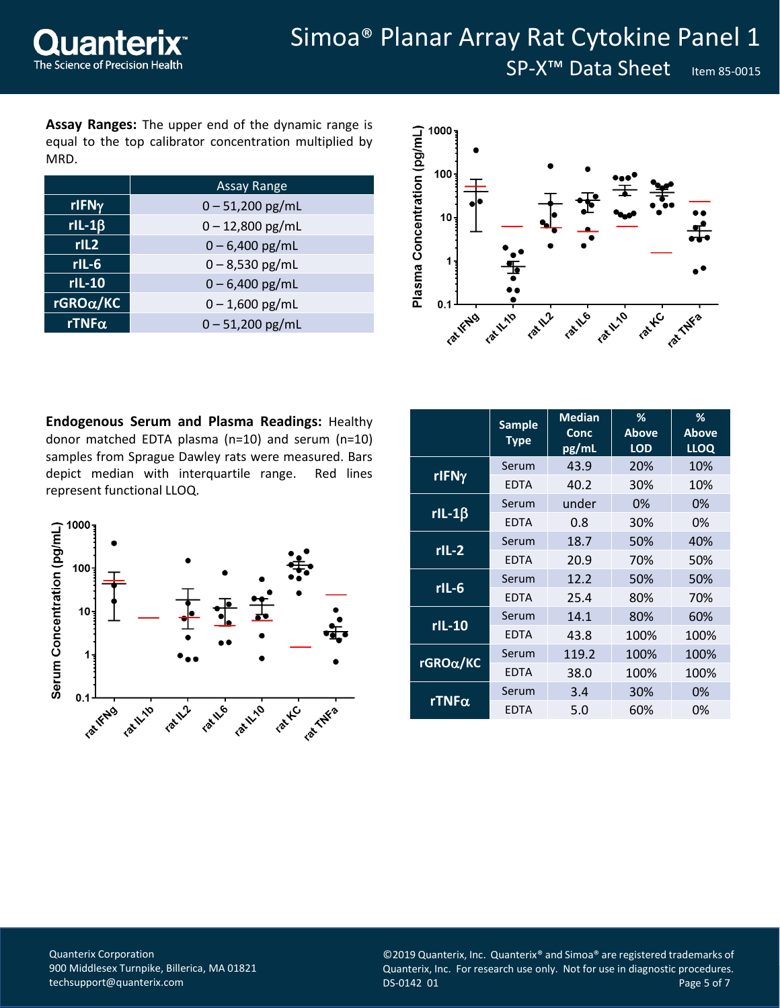**Assay Ranges:** The upper end of the dynamic range is equal to the top calibrator concentration multiplied by MRD.

|                      | <b>Assay Range</b> |  |  |  |
|----------------------|--------------------|--|--|--|
| rIFNy                | $0 - 51,200$ pg/mL |  |  |  |
| $rI-L-1\beta$        | $0 - 12,800$ pg/mL |  |  |  |
| rIL2                 | $0 - 6,400$ pg/mL  |  |  |  |
| $rIL-6$              | $0 - 8,530$ pg/mL  |  |  |  |
| $rL-10$              | $0 - 6,400$ pg/mL  |  |  |  |
| $r$ GRO $\alpha$ /KC | $0 - 1,600$ pg/mL  |  |  |  |
| $rTNF\alpha$         | $0 - 51,200$ pg/mL |  |  |  |



**Endogenous Serum and Plasma Readings:** Healthy donor matched EDTA plasma (n=10) and serum (n=10) samples from Sprague Dawley rats were measured. Bars depict median with interquartile range. Red lines represent functional LLOQ.



|                      | <b>Sample</b><br><b>Type</b> | <b>Median</b><br>Conc<br>pg/mL | %<br><b>Above</b><br><b>LOD</b> | %<br><b>Above</b><br><b>LLOQ</b> |  |
|----------------------|------------------------------|--------------------------------|---------------------------------|----------------------------------|--|
|                      | Serum                        | 43.9                           | 20%                             | 10%                              |  |
| rIFNy                | <b>EDTA</b>                  | 40.2                           | 30%                             | 10%                              |  |
|                      | Serum                        | under                          | 0%                              | 0%                               |  |
| $rIL-1\beta$         | <b>EDTA</b>                  | 0.8                            | 30%                             | 0%                               |  |
| $rIL-2$              | Serum                        | 18.7                           | 50%                             | 40%                              |  |
|                      | <b>EDTA</b>                  | 20.9                           | 70%                             | 50%                              |  |
| $rIL-6$              | Serum                        | 12.2                           | 50%                             | 50%                              |  |
|                      | <b>EDTA</b>                  | 25.4                           | 80%                             | 70%                              |  |
| $rL-10$              | Serum                        | 14.1                           | 80%                             | 60%                              |  |
|                      | <b>EDTA</b>                  | 43.8                           | 100%                            | 100%                             |  |
| $r$ GRO $\alpha$ /KC | Serum                        | 119.2                          | 100%                            | 100%                             |  |
|                      | <b>EDTA</b>                  | 38.0                           | 100%                            | 100%                             |  |
|                      | Serum                        | 3.4                            | 30%                             | 0%                               |  |
| rTNF $\alpha$        | <b>EDTA</b>                  | 5.0                            | 60%                             | 0%                               |  |

Quanterix Corporation 900 Middlesex Turnpike, Billerica, MA 01821 [techsupport@quanterix.com](mailto:techsupport@quanterix.com)

©2019 Quanterix, Inc. Quanterix® and Simoa® are registered trademarks of Quanterix, Inc. For research use only. Not for use in diagnostic procedures. DS-0142 01 Page 5 of 7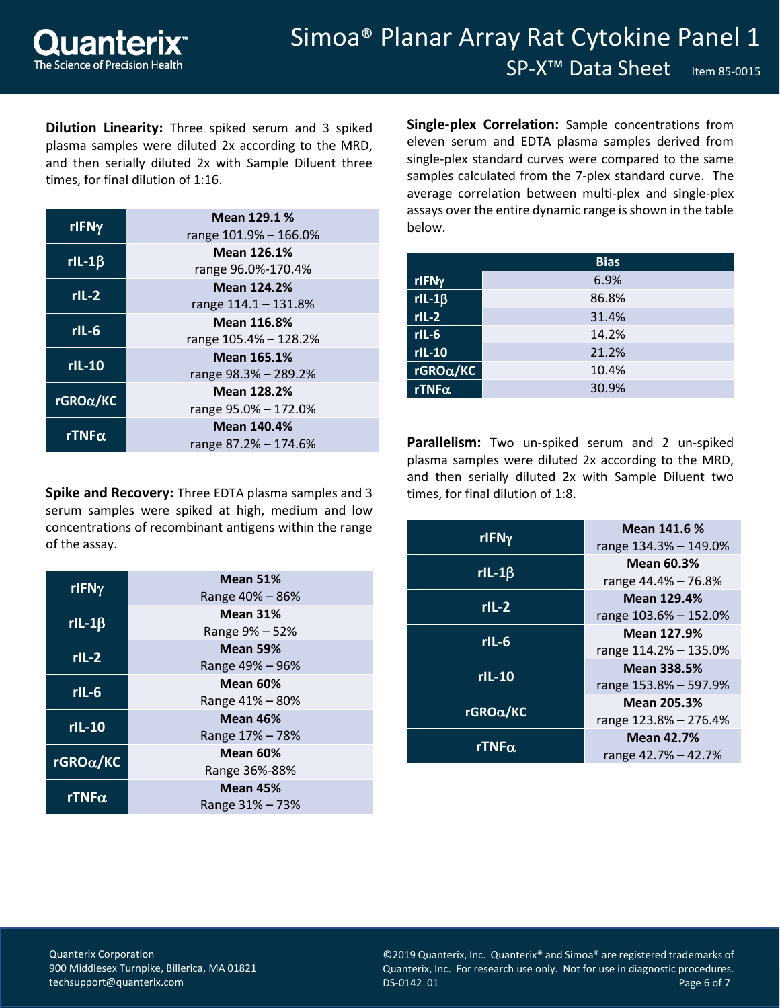SP-X<sup>™</sup> Data Sheet Item 85-0015

**Dilution Linearity:** Three spiked serum and 3 spiked plasma samples were diluted 2x according to the MRD, and then serially diluted 2x with Sample Diluent three times, for final dilution of 1:16.

| rIFNy       | Mean 129.1 %<br>range 101.9% - 166.0% |  |  |  |  |
|-------------|---------------------------------------|--|--|--|--|
|             | Mean 126.1%                           |  |  |  |  |
| $rL-1\beta$ | range 96.0%-170.4%                    |  |  |  |  |
|             | <b>Mean 124.2%</b>                    |  |  |  |  |
| $rIL-2$     | range 114.1 - 131.8%                  |  |  |  |  |
| $rIL-6$     | <b>Mean 116.8%</b>                    |  |  |  |  |
|             | range 105.4% - 128.2%                 |  |  |  |  |
| $rIL-10$    | <b>Mean 165.1%</b>                    |  |  |  |  |
|             | range 98.3% - 289.2%                  |  |  |  |  |
| rGROα/KC    | <b>Mean 128.2%</b>                    |  |  |  |  |
|             | range 95.0% - 172.0%                  |  |  |  |  |
| rTNFα       | <b>Mean 140.4%</b>                    |  |  |  |  |
|             | range 87.2% - 174.6%                  |  |  |  |  |

**Spike and Recovery:** Three EDTA plasma samples and 3 serum samples were spiked at high, medium and low concentrations of recombinant antigens within the range of the assay.

| rIFNy                | <b>Mean 51%</b><br>Range 40% - 86% |  |  |  |  |
|----------------------|------------------------------------|--|--|--|--|
|                      |                                    |  |  |  |  |
| $rI-L-1\beta$        | <b>Mean 31%</b>                    |  |  |  |  |
|                      | Range 9% – 52%                     |  |  |  |  |
| $rIL-2$              | <b>Mean 59%</b>                    |  |  |  |  |
|                      | Range 49% – 96%                    |  |  |  |  |
|                      | <b>Mean 60%</b>                    |  |  |  |  |
| rlL-6                | Range 41% - 80%                    |  |  |  |  |
| $rL-10$              | <b>Mean 46%</b>                    |  |  |  |  |
|                      | Range 17% – 78%                    |  |  |  |  |
|                      | <b>Mean 60%</b>                    |  |  |  |  |
| $r$ GRO $\alpha$ /KC | Range 36%-88%                      |  |  |  |  |
|                      | <b>Mean 45%</b>                    |  |  |  |  |
| rTNF $\alpha$        | Range 31% - 73%                    |  |  |  |  |

**Single-plex Correlation:** Sample concentrations from eleven serum and EDTA plasma samples derived from single-plex standard curves were compared to the same samples calculated from the 7-plex standard curve. The average correlation between multi-plex and single-plex assays over the entire dynamic range is shown in the table below.

|                         | <b>Bias</b> |
|-------------------------|-------------|
| $r$ IFN $\gamma$        | 6.9%        |
| $rlL-1\overline{\beta}$ | 86.8%       |
| $rIL-2$                 | 31.4%       |
| $rIL-6$                 | 14.2%       |
| $rIL-10$                | 21.2%       |
| rGROα/KC                | 10.4%       |
| $rTNF\alpha$            | 30.9%       |

**Parallelism:** Two un-spiked serum and 2 un-spiked plasma samples were diluted 2x according to the MRD, and then serially diluted 2x with Sample Diluent two times, for final dilution of 1:8.

| rIFNy                | Mean 141.6 %<br>range 134.3% - 149.0%       |  |  |
|----------------------|---------------------------------------------|--|--|
| $r$ IL-1 $\beta$     | <b>Mean 60.3%</b><br>range 44.4% - 76.8%    |  |  |
| $rIL-2$              | <b>Mean 129.4%</b><br>range 103.6% - 152.0% |  |  |
| rlL-6                | <b>Mean 127.9%</b><br>range 114.2% - 135.0% |  |  |
| $rIL-10$             | <b>Mean 338.5%</b><br>range 153.8% - 597.9% |  |  |
| $r$ GRO $\alpha$ /KC | <b>Mean 205.3%</b><br>range 123.8% - 276.4% |  |  |
| rTNF $\alpha$        | <b>Mean 42.7%</b><br>range 42.7% – 42.7%    |  |  |

Quanterix Corporation 900 Middlesex Turnpike, Billerica, MA 01821 [techsupport@quanterix.com](mailto:techsupport@quanterix.com)

©2019 Quanterix, Inc. Quanterix® and Simoa® are registered trademarks of Quanterix, Inc. For research use only. Not for use in diagnostic procedures. DS-0142 01 Page 6 of 7